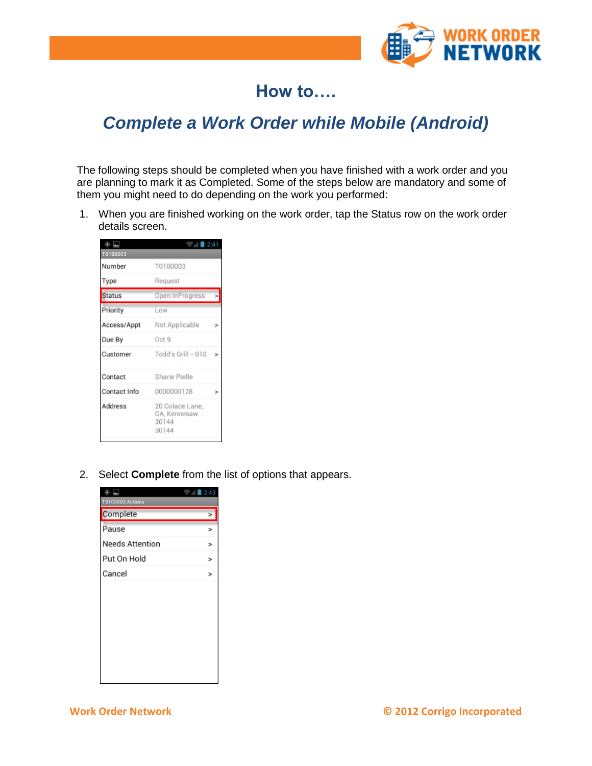

## **How to….**

## *Complete a Work Order while Mobile (Android)*

The following steps should be completed when you have finished with a work order and you are planning to mark it as Completed. Some of the steps below are mandatory and some of them you might need to do depending on the work you performed:

1. When you are finished working on the work order, tap the Status row on the work order details screen.

| $\circ$ $\blacksquare$<br>T0100003 | $\frac{1}{2}$ 2:41                                |        |
|------------------------------------|---------------------------------------------------|--------|
| Number                             | T0100003                                          |        |
| Type                               | Request                                           |        |
| Status                             | Open:InProgress                                   | >      |
| Priority                           | Low                                               |        |
| Access/Appt                        | Not Applicable                                    | ⋗      |
| Due By                             | Oct 9                                             |        |
| Customer                           | Todd's Grill - 010                                | $\geq$ |
| Contact                            | Sharie Pielle                                     |        |
| Contact Info                       | 0000000128                                        | ↘      |
| Address                            | 20 Colace Lane,<br>GA, Kennesaw<br>30144<br>30144 |        |

2. Select **Complete** from the list of options that appears.

| ۰                      | 2:43   |
|------------------------|--------|
| T0100003 Actions       |        |
| Complete               | ×      |
| Pause                  | >      |
| <b>Needs Attention</b> | $\geq$ |
| Put On Hold            | >      |
| Cancel                 | >      |
|                        |        |
|                        |        |
|                        |        |
|                        |        |
|                        |        |
|                        |        |
|                        |        |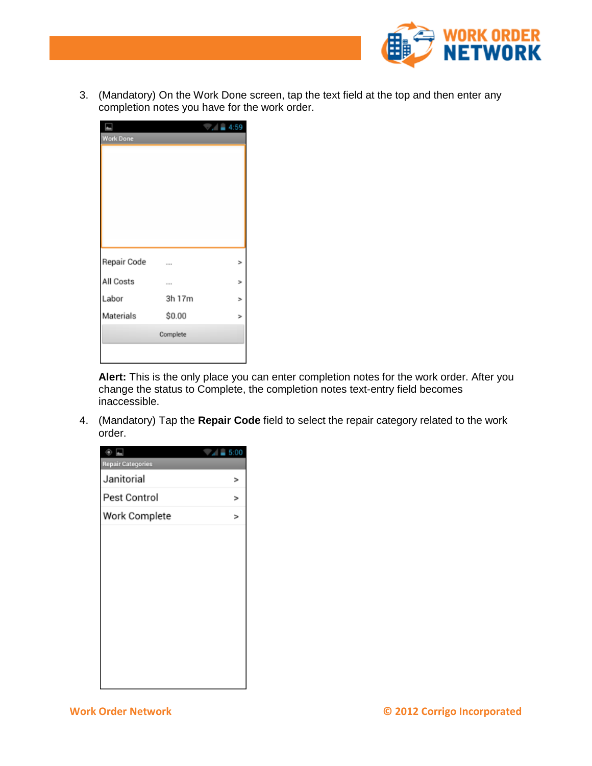

3. (Mandatory) On the Work Done screen, tap the text field at the top and then enter any completion notes you have for the work order.

| <b>Work Done</b> |            | 4:59           |
|------------------|------------|----------------|
|                  |            |                |
| Repair Code      |            | ,              |
| All Costs        |            | b.             |
| Labor            | <br>3h 17m | ⋗              |
| Materials        | \$0.00     | $\overline{ }$ |
|                  | Complete   |                |
|                  |            |                |

**Alert:** This is the only place you can enter completion notes for the work order. After you change the status to Complete, the completion notes text-entry field becomes inaccessible.

4. (Mandatory) Tap the **Repair Code** field to select the repair category related to the work order.

| ۵                        | $= 5.00$ |
|--------------------------|----------|
| <b>Repair Categories</b> |          |
| Janitorial               | >        |
| Pest Control             | $\geq$   |
| Work Complete            | ⋗        |
|                          |          |
|                          |          |
|                          |          |
|                          |          |
|                          |          |
|                          |          |
|                          |          |
|                          |          |
|                          |          |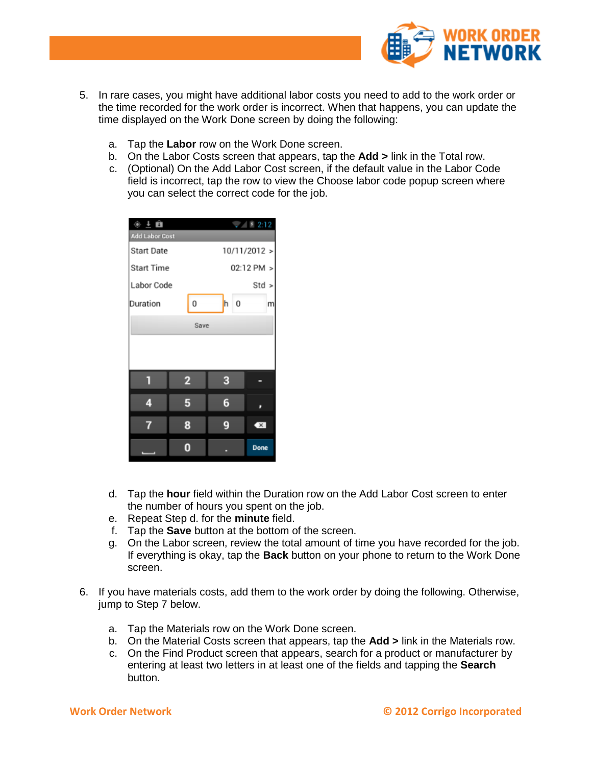

- 5. In rare cases, you might have additional labor costs you need to add to the work order or the time recorded for the work order is incorrect. When that happens, you can update the time displayed on the Work Done screen by doing the following:
	- a. Tap the **Labor** row on the Work Done screen.
	- b. On the Labor Costs screen that appears, tap the **Add >** link in the Total row.
	- c. (Optional) On the Add Labor Cost screen, if the default value in the Labor Code field is incorrect, tap the row to view the Choose labor code popup screen where you can select the correct code for the job.

| $\circ$ $\overline{1}$ 0<br><b>Add Labor Cost</b> |                |              | ₹ 2:12                  |  |
|---------------------------------------------------|----------------|--------------|-------------------------|--|
| <b>Start Date</b>                                 |                | 10/11/2012 > |                         |  |
| <b>Start Time</b>                                 |                | 02:12 PM >   |                         |  |
| Labor Code                                        |                | Std >        |                         |  |
| Duration                                          | 0              | 0<br>h       | m                       |  |
| Save                                              |                |              |                         |  |
|                                                   |                |              |                         |  |
|                                                   |                |              |                         |  |
|                                                   | $\overline{2}$ | 3            |                         |  |
| 4                                                 | 5              | 6            |                         |  |
|                                                   | 8              | 9            | $\overline{\mathbf{X}}$ |  |
|                                                   |                |              | <b>Done</b>             |  |

- d. Tap the **hour** field within the Duration row on the Add Labor Cost screen to enter the number of hours you spent on the job.
- e. Repeat Step d. for the **minute** field.
- f. Tap the **Save** button at the bottom of the screen.
- g. On the Labor screen, review the total amount of time you have recorded for the job. If everything is okay, tap the **Back** button on your phone to return to the Work Done screen.
- 6. If you have materials costs, add them to the work order by doing the following. Otherwise, jump to Step 7 below.
	- a. Tap the Materials row on the Work Done screen.
	- b. On the Material Costs screen that appears, tap the **Add >** link in the Materials row.
	- c. On the Find Product screen that appears, search for a product or manufacturer by entering at least two letters in at least one of the fields and tapping the **Search** button.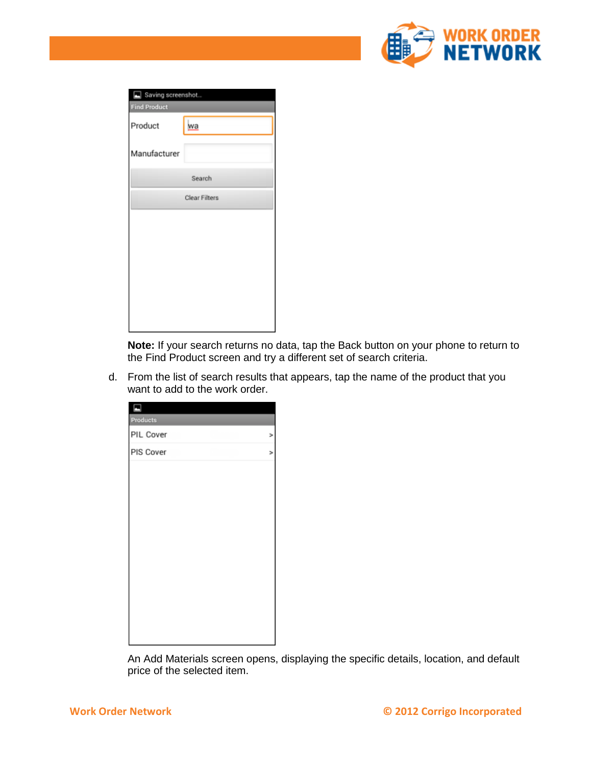

| Saving screenshot<br><b>Find Product</b> |           |  |  |
|------------------------------------------|-----------|--|--|
| Product                                  | <u>wa</u> |  |  |
| Manufacturer                             |           |  |  |
|                                          | Search    |  |  |
| Clear Filters                            |           |  |  |
|                                          |           |  |  |
|                                          |           |  |  |
|                                          |           |  |  |
|                                          |           |  |  |
|                                          |           |  |  |
|                                          |           |  |  |

**Note:** If your search returns no data, tap the Back button on your phone to return to the Find Product screen and try a different set of search criteria.

d. From the list of search results that appears, tap the name of the product that you want to add to the work order.

| Products  |   |
|-----------|---|
| PIL Cover | × |
| PIS Cover | × |
|           |   |
|           |   |
|           |   |
|           |   |
|           |   |
|           |   |
|           |   |
|           |   |
|           |   |
|           |   |
|           |   |
|           |   |

An Add Materials screen opens, displaying the specific details, location, and default price of the selected item.